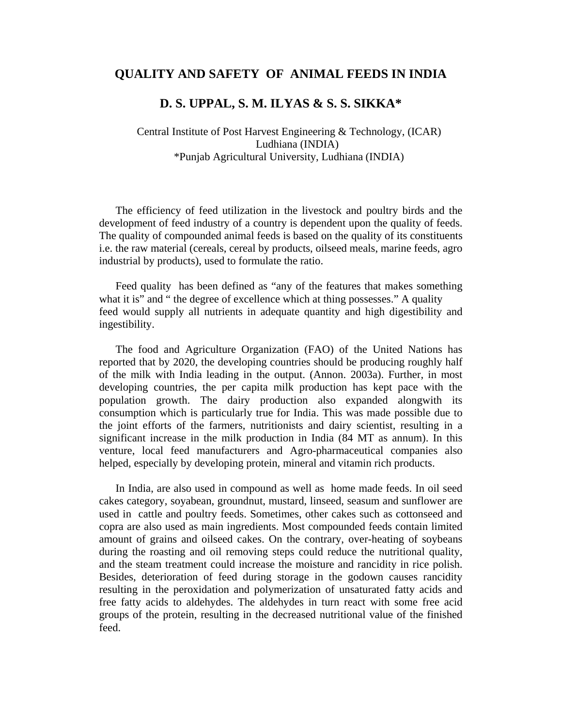# **QUALITY AND SAFETY OF ANIMAL FEEDS IN INDIA**

# **D. S. UPPAL, S. M. ILYAS & S. S. SIKKA\***

## Central Institute of Post Harvest Engineering & Technology, (ICAR) Ludhiana (INDIA) \*Punjab Agricultural University, Ludhiana (INDIA)

The efficiency of feed utilization in the livestock and poultry birds and the development of feed industry of a country is dependent upon the quality of feeds. The quality of compounded animal feeds is based on the quality of its constituents i.e. the raw material (cereals, cereal by products, oilseed meals, marine feeds, agro industrial by products), used to formulate the ratio.

Feed quality has been defined as "any of the features that makes something what it is" and " the degree of excellence which at thing possesses." A quality feed would supply all nutrients in adequate quantity and high digestibility and ingestibility.

The food and Agriculture Organization (FAO) of the United Nations has reported that by 2020, the developing countries should be producing roughly half of the milk with India leading in the output. (Annon. 2003a). Further, in most developing countries, the per capita milk production has kept pace with the population growth. The dairy production also expanded alongwith its consumption which is particularly true for India. This was made possible due to the joint efforts of the farmers, nutritionists and dairy scientist, resulting in a significant increase in the milk production in India (84 MT as annum). In this venture, local feed manufacturers and Agro-pharmaceutical companies also helped, especially by developing protein, mineral and vitamin rich products.

In India, are also used in compound as well as home made feeds. In oil seed cakes category, soyabean, groundnut, mustard, linseed, seasum and sunflower are used in cattle and poultry feeds. Sometimes, other cakes such as cottonseed and copra are also used as main ingredients. Most compounded feeds contain limited amount of grains and oilseed cakes. On the contrary, over-heating of soybeans during the roasting and oil removing steps could reduce the nutritional quality, and the steam treatment could increase the moisture and rancidity in rice polish. Besides, deterioration of feed during storage in the godown causes rancidity resulting in the peroxidation and polymerization of unsaturated fatty acids and free fatty acids to aldehydes. The aldehydes in turn react with some free acid groups of the protein, resulting in the decreased nutritional value of the finished feed.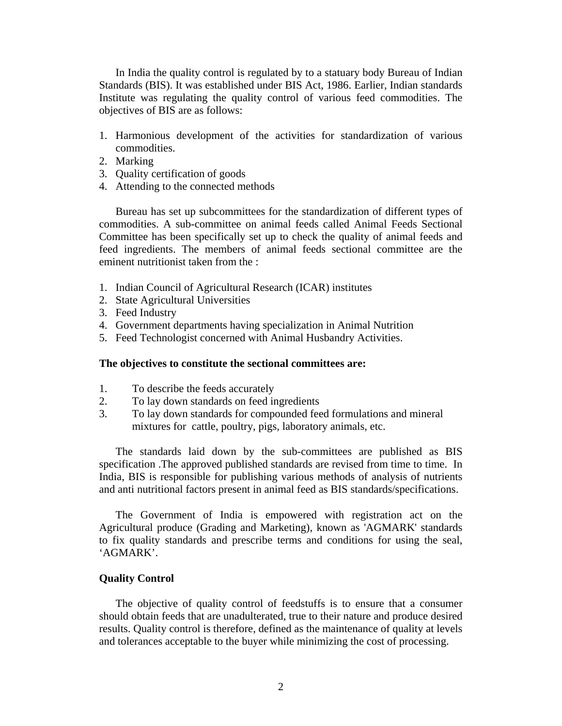In India the quality control is regulated by to a statuary body Bureau of Indian Standards (BIS). It was established under BIS Act, 1986. Earlier, Indian standards Institute was regulating the quality control of various feed commodities. The objectives of BIS are as follows:

- 1. Harmonious development of the activities for standardization of various commodities.
- 2. Marking
- 3. Quality certification of goods
- 4. Attending to the connected methods

Bureau has set up subcommittees for the standardization of different types of commodities. A sub-committee on animal feeds called Animal Feeds Sectional Committee has been specifically set up to check the quality of animal feeds and feed ingredients. The members of animal feeds sectional committee are the eminent nutritionist taken from the :

- 1. Indian Council of Agricultural Research (ICAR) institutes
- 2. State Agricultural Universities
- 3. Feed Industry
- 4. Government departments having specialization in Animal Nutrition
- 5. Feed Technologist concerned with Animal Husbandry Activities.

#### **The objectives to constitute the sectional committees are:**

- 1. To describe the feeds accurately
- 2. To lay down standards on feed ingredients
- 3. To lay down standards for compounded feed formulations and mineral mixtures for cattle, poultry, pigs, laboratory animals, etc.

The standards laid down by the sub-committees are published as BIS specification .The approved published standards are revised from time to time. In India, BIS is responsible for publishing various methods of analysis of nutrients and anti nutritional factors present in animal feed as BIS standards/specifications.

The Government of India is empowered with registration act on the Agricultural produce (Grading and Marketing), known as 'AGMARK' standards to fix quality standards and prescribe terms and conditions for using the seal, 'AGMARK'.

#### **Quality Control**

The objective of quality control of feedstuffs is to ensure that a consumer should obtain feeds that are unadulterated, true to their nature and produce desired results. Quality control is therefore, defined as the maintenance of quality at levels and tolerances acceptable to the buyer while minimizing the cost of processing.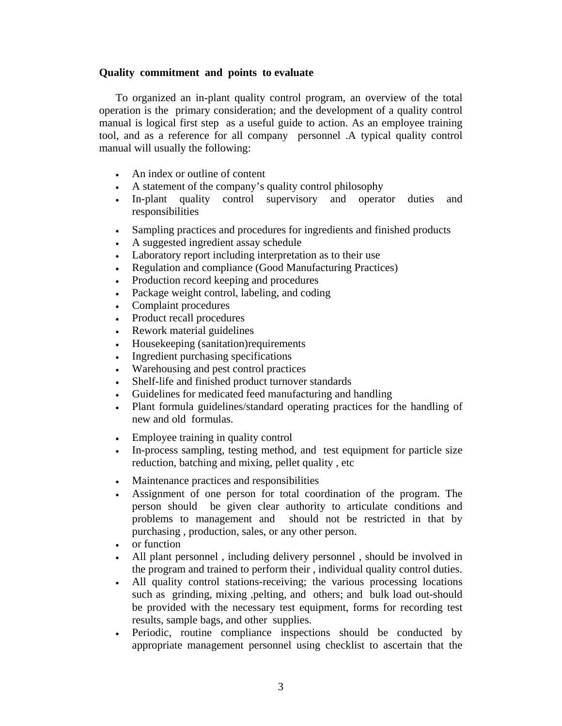#### **Quality commitment and points to evaluate**

To organized an in-plant quality control program, an overview of the total operation is the primary consideration; and the development of a quality control manual is logical first step as a useful guide to action. As an employee training tool, and as a reference for all company personnel .A typical quality control manual will usually the following:

- An index or outline of content
- A statement of the company's quality control philosophy
- In-plant quality control supervisory and operator duties and responsibilities
- Sampling practices and procedures for ingredients and finished products
- A suggested ingredient assay schedule
- Laboratory report including interpretation as to their use
- Regulation and compliance (Good Manufacturing Practices)
- Production record keeping and procedures
- Package weight control, labeling, and coding
- Complaint procedures
- Product recall procedures
- Rework material guidelines
- Housekeeping (sanitation) requirements
- Ingredient purchasing specifications
- Warehousing and pest control practices
- Shelf-life and finished product turnover standards
- Guidelines for medicated feed manufacturing and handling
- Plant formula guidelines/standard operating practices for the handling of new and old formulas.
- Employee training in quality control
- In-process sampling, testing method, and test equipment for particle size reduction, batching and mixing, pellet quality , etc
- Maintenance practices and responsibilities
- Assignment of one person for total coordination of the program. The person should be given clear authority to articulate conditions and problems to management and should not be restricted in that by purchasing , production, sales, or any other person.
- or function
- All plant personnel , including delivery personnel , should be involved in the program and trained to perform their , individual quality control duties.
- All quality control stations-receiving; the various processing locations such as grinding, mixing ,pelting, and others; and bulk load out-should be provided with the necessary test equipment, forms for recording test results, sample bags, and other supplies.
- Periodic, routine compliance inspections should be conducted by appropriate management personnel using checklist to ascertain that the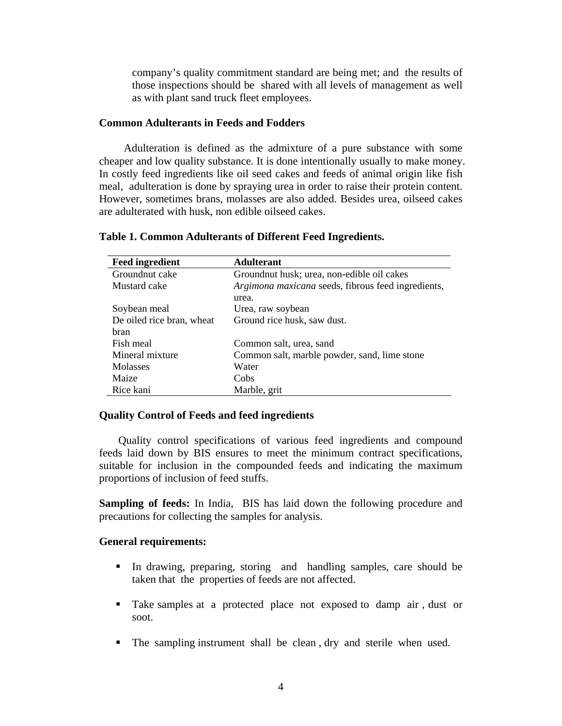company's quality commitment standard are being met; and the results of those inspections should be shared with all levels of management as well as with plant sand truck fleet employees.

#### **Common Adulterants in Feeds and Fodders**

Adulteration is defined as the admixture of a pure substance with some cheaper and low quality substance. It is done intentionally usually to make money. In costly feed ingredients like oil seed cakes and feeds of animal origin like fish meal, adulteration is done by spraying urea in order to raise their protein content. However, sometimes brans, molasses are also added. Besides urea, oilseed cakes are adulterated with husk, non edible oilseed cakes.

| <b>Feed ingredient</b>    | <b>Adulterant</b>                                  |
|---------------------------|----------------------------------------------------|
| Groundnut cake            | Groundnut husk; urea, non-edible oil cakes         |
| Mustard cake              | Argimona maxicana seeds, fibrous feed ingredients, |
|                           | urea.                                              |
| Soybean meal              | Urea, raw soybean                                  |
| De oiled rice bran, wheat | Ground rice husk, saw dust.                        |
| <b>bran</b>               |                                                    |
| Fish meal                 | Common salt, urea, sand                            |
| Mineral mixture           | Common salt, marble powder, sand, lime stone       |
| <b>Molasses</b>           | Water                                              |
| Maize                     | Cobs                                               |
| Rice kani                 | Marble, grit                                       |

#### **Table 1. Common Adulterants of Different Feed Ingredients.**

#### **Quality Control of Feeds and feed ingredients**

Quality control specifications of various feed ingredients and compound feeds laid down by BIS ensures to meet the minimum contract specifications, suitable for inclusion in the compounded feeds and indicating the maximum proportions of inclusion of feed stuffs.

**Sampling of feeds:** In India, BIS has laid down the following procedure and precautions for collecting the samples for analysis.

#### **General requirements:**

- In drawing, preparing, storing and handling samples, care should be taken that the properties of feeds are not affected.
- Take samples at a protected place not exposed to damp air , dust or soot.
- The sampling instrument shall be clean , dry and sterile when used.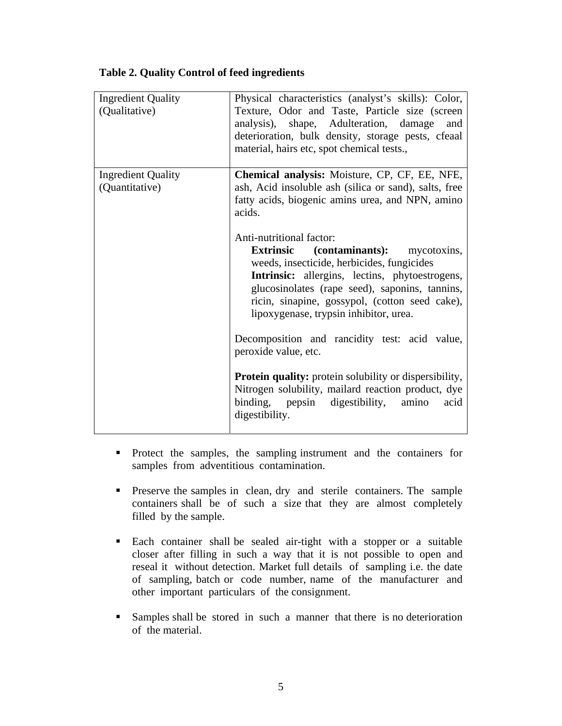| <b>Ingredient Quality</b><br>(Qualitative)  | Physical characteristics (analyst's skills): Color,<br>Texture, Odor and Taste, Particle size (screen<br>analysis), shape, Adulteration, damage<br>and<br>deterioration, bulk density, storage pests, cfeaal<br>material, hairs etc, spot chemical tests.,                                                             |
|---------------------------------------------|------------------------------------------------------------------------------------------------------------------------------------------------------------------------------------------------------------------------------------------------------------------------------------------------------------------------|
| <b>Ingredient Quality</b><br>(Quantitative) | Chemical analysis: Moisture, CP, CF, EE, NFE,<br>ash, Acid insoluble ash (silica or sand), salts, free<br>fatty acids, biogenic amins urea, and NPN, amino<br>acids.                                                                                                                                                   |
|                                             | Anti-nutritional factor:<br><b>Extrinsic</b> (contaminants): mycotoxins,<br>weeds, insecticide, herbicides, fungicides<br>Intrinsic: allergins, lectins, phytoestrogens,<br>glucosinolates (rape seed), saponins, tannins,<br>ricin, sinapine, gossypol, (cotton seed cake),<br>lipoxygenase, trypsin inhibitor, urea. |
|                                             | Decomposition and rancidity test: acid value,<br>peroxide value, etc.                                                                                                                                                                                                                                                  |
|                                             | <b>Protein quality:</b> protein solubility or dispersibility,<br>Nitrogen solubility, mailard reaction product, dye<br>binding, pepsin digestibility, amino<br>acid<br>digestibility.                                                                                                                                  |

# **Table 2. Quality Control of feed ingredients**

- **Protect the samples, the sampling instrument and the containers for** samples from adventitious contamination.
- **Preserve the samples in clean, dry and sterile containers. The sample** containers shall be of such a size that they are almost completely filled by the sample.
- Each container shall be sealed air-tight with a stopper or a suitable closer after filling in such a way that it is not possible to open and reseal it without detection. Market full details of sampling i.e. the date of sampling, batch or code number, name of the manufacturer and other important particulars of the consignment.
- **Samples shall be stored in such a manner that there is no deterioration** of the material.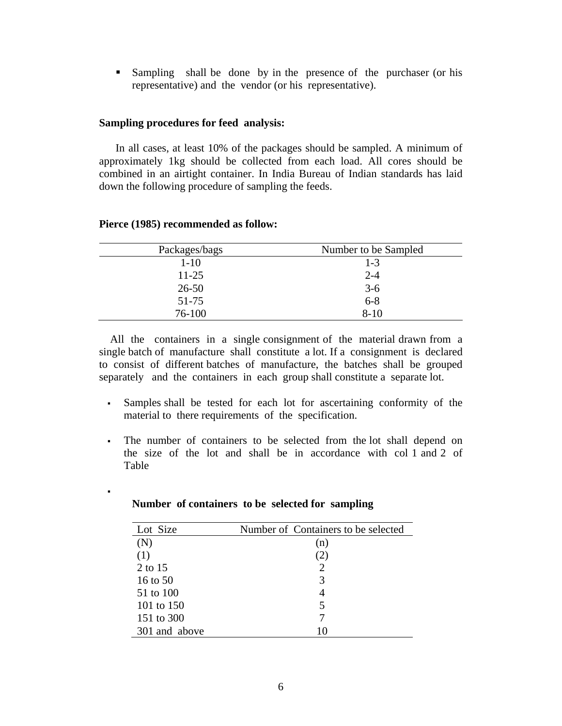Sampling shall be done by in the presence of the purchaser (or his representative) and the vendor (or his representative).

### **Sampling procedures for feed analysis:**

In all cases, at least 10% of the packages should be sampled. A minimum of approximately 1kg should be collected from each load. All cores should be combined in an airtight container. In India Bureau of Indian standards has laid down the following procedure of sampling the feeds.

| Packages/bags | Number to be Sampled |
|---------------|----------------------|
| $1 - 10$      | $1 - 3$              |
| $11 - 25$     | $2 - 4$              |
| $26 - 50$     | $3-6$                |
| 51-75         | $6 - 8$              |
| 76-100        | $8 - 10$             |

#### **Pierce (1985) recommended as follow:**

 $\blacksquare$ 

All the containers in a single consignment of the material drawn from a single batch of manufacture shall constitute a lot. If a consignment is declared to consist of different batches of manufacture, the batches shall be grouped separately and the containers in each group shall constitute a separate lot.

- Samples shall be tested for each lot for ascertaining conformity of the material to there requirements of the specification.
- The number of containers to be selected from the lot shall depend on the size of the lot and shall be in accordance with col 1 and 2 of Table

## **Number of containers to be selected for sampling**

| Lot Size      | Number of Containers to be selected |
|---------------|-------------------------------------|
| (N)           | (n)                                 |
| (1)           | (2)                                 |
| 2 to 15       |                                     |
| 16 to 50      | 3                                   |
| 51 to 100     | 4                                   |
| 101 to 150    | 5                                   |
| 151 to 300    |                                     |
| 301 and above | 10                                  |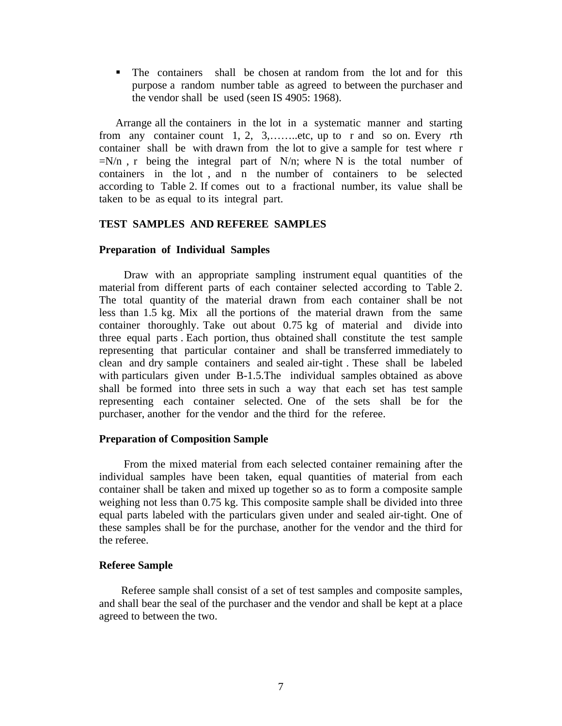The containers shall be chosen at random from the lot and for this purpose a random number table as agreed to between the purchaser and the vendor shall be used (seen IS 4905: 1968).

Arrange all the containers in the lot in a systematic manner and starting from any container count 1, 2, 3,……..etc, up to r and so on. Every *r*th container shall be with drawn from the lot to give a sample for test where r  $=N/n$ , r being the integral part of N/n; where N is the total number of containers in the lot , and n the number of containers to be selected according to Table 2. If comes out to a fractional number, its value shall be taken to be as equal to its integral part.

## **TEST SAMPLES AND REFEREE SAMPLES**

#### **Preparation of Individual Samples**

Draw with an appropriate sampling instrument equal quantities of the material from different parts of each container selected according to Table 2. The total quantity of the material drawn from each container shall be not less than 1.5 kg. Mix all the portions of the material drawn from the same container thoroughly. Take out about 0.75 kg of material and divide into three equal parts . Each portion, thus obtained shall constitute the test sample representing that particular container and shall be transferred immediately to clean and dry sample containers and sealed air-tight . These shall be labeled with particulars given under B-1.5.The individual samples obtained as above shall be formed into three sets in such a way that each set has test sample representing each container selected. One of the sets shall be for the purchaser, another for the vendor and the third for the referee.

#### **Preparation of Composition Sample**

From the mixed material from each selected container remaining after the individual samples have been taken, equal quantities of material from each container shall be taken and mixed up together so as to form a composite sample weighing not less than 0.75 kg. This composite sample shall be divided into three equal parts labeled with the particulars given under and sealed air-tight. One of these samples shall be for the purchase, another for the vendor and the third for the referee.

#### **Referee Sample**

 Referee sample shall consist of a set of test samples and composite samples, and shall bear the seal of the purchaser and the vendor and shall be kept at a place agreed to between the two.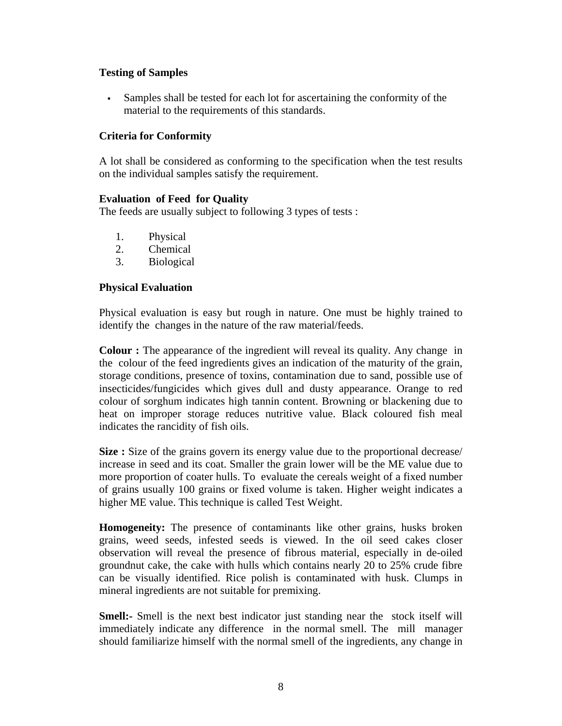# **Testing of Samples**

 Samples shall be tested for each lot for ascertaining the conformity of the material to the requirements of this standards.

# **Criteria for Conformity**

A lot shall be considered as conforming to the specification when the test results on the individual samples satisfy the requirement.

## **Evaluation of Feed for Quality**

The feeds are usually subject to following 3 types of tests :

- 1. Physical
- 2. Chemical
- 3. Biological

## **Physical Evaluation**

Physical evaluation is easy but rough in nature. One must be highly trained to identify the changes in the nature of the raw material/feeds.

**Colour :** The appearance of the ingredient will reveal its quality. Any change in the colour of the feed ingredients gives an indication of the maturity of the grain, storage conditions, presence of toxins, contamination due to sand, possible use of insecticides/fungicides which gives dull and dusty appearance. Orange to red colour of sorghum indicates high tannin content. Browning or blackening due to heat on improper storage reduces nutritive value. Black coloured fish meal indicates the rancidity of fish oils.

**Size :** Size of the grains govern its energy value due to the proportional decrease/ increase in seed and its coat. Smaller the grain lower will be the ME value due to more proportion of coater hulls. To evaluate the cereals weight of a fixed number of grains usually 100 grains or fixed volume is taken. Higher weight indicates a higher ME value. This technique is called Test Weight.

**Homogeneity:** The presence of contaminants like other grains, husks broken grains, weed seeds, infested seeds is viewed. In the oil seed cakes closer observation will reveal the presence of fibrous material, especially in de-oiled groundnut cake, the cake with hulls which contains nearly 20 to 25% crude fibre can be visually identified. Rice polish is contaminated with husk. Clumps in mineral ingredients are not suitable for premixing.

**Smell:** Smell is the next best indicator just standing near the stock itself will immediately indicate any difference in the normal smell. The mill manager should familiarize himself with the normal smell of the ingredients, any change in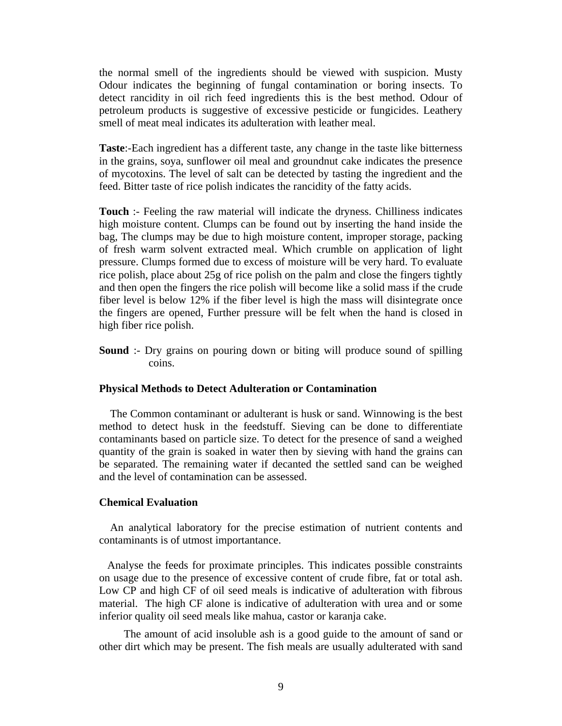the normal smell of the ingredients should be viewed with suspicion. Musty Odour indicates the beginning of fungal contamination or boring insects. To detect rancidity in oil rich feed ingredients this is the best method. Odour of petroleum products is suggestive of excessive pesticide or fungicides. Leathery smell of meat meal indicates its adulteration with leather meal.

**Taste**:-Each ingredient has a different taste, any change in the taste like bitterness in the grains, soya, sunflower oil meal and groundnut cake indicates the presence of mycotoxins. The level of salt can be detected by tasting the ingredient and the feed. Bitter taste of rice polish indicates the rancidity of the fatty acids.

**Touch** :- Feeling the raw material will indicate the dryness. Chilliness indicates high moisture content. Clumps can be found out by inserting the hand inside the bag, The clumps may be due to high moisture content, improper storage, packing of fresh warm solvent extracted meal. Which crumble on application of light pressure. Clumps formed due to excess of moisture will be very hard. To evaluate rice polish, place about 25g of rice polish on the palm and close the fingers tightly and then open the fingers the rice polish will become like a solid mass if the crude fiber level is below 12% if the fiber level is high the mass will disintegrate once the fingers are opened, Further pressure will be felt when the hand is closed in high fiber rice polish.

**Sound** :- Dry grains on pouring down or biting will produce sound of spilling coins.

#### **Physical Methods to Detect Adulteration or Contamination**

 The Common contaminant or adulterant is husk or sand. Winnowing is the best method to detect husk in the feedstuff. Sieving can be done to differentiate contaminants based on particle size. To detect for the presence of sand a weighed quantity of the grain is soaked in water then by sieving with hand the grains can be separated. The remaining water if decanted the settled sand can be weighed and the level of contamination can be assessed.

#### **Chemical Evaluation**

An analytical laboratory for the precise estimation of nutrient contents and contaminants is of utmost importantance.

Analyse the feeds for proximate principles. This indicates possible constraints on usage due to the presence of excessive content of crude fibre, fat or total ash. Low CP and high CF of oil seed meals is indicative of adulteration with fibrous material. The high CF alone is indicative of adulteration with urea and or some inferior quality oil seed meals like mahua, castor or karanja cake.

The amount of acid insoluble ash is a good guide to the amount of sand or other dirt which may be present. The fish meals are usually adulterated with sand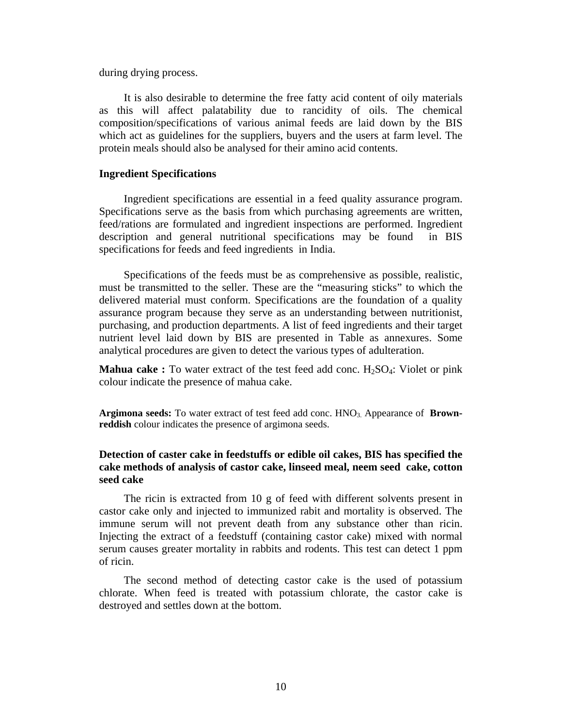during drying process.

It is also desirable to determine the free fatty acid content of oily materials as this will affect palatability due to rancidity of oils. The chemical composition/specifications of various animal feeds are laid down by the BIS which act as guidelines for the suppliers, buyers and the users at farm level. The protein meals should also be analysed for their amino acid contents.

#### **Ingredient Specifications**

Ingredient specifications are essential in a feed quality assurance program. Specifications serve as the basis from which purchasing agreements are written, feed/rations are formulated and ingredient inspections are performed. Ingredient description and general nutritional specifications may be found in BIS specifications for feeds and feed ingredients in India.

Specifications of the feeds must be as comprehensive as possible, realistic, must be transmitted to the seller. These are the "measuring sticks" to which the delivered material must conform. Specifications are the foundation of a quality assurance program because they serve as an understanding between nutritionist, purchasing, and production departments. A list of feed ingredients and their target nutrient level laid down by BIS are presented in Table as annexures. Some analytical procedures are given to detect the various types of adulteration.

**Mahua cake :** To water extract of the test feed add conc. H<sub>2</sub>SO<sub>4</sub>: Violet or pink colour indicate the presence of mahua cake.

Argimona seeds: To water extract of test feed add conc. HNO<sub>3</sub>. Appearance of **Brownreddish** colour indicates the presence of argimona seeds.

## **Detection of caster cake in feedstuffs or edible oil cakes, BIS has specified the cake methods of analysis of castor cake, linseed meal, neem seed cake, cotton seed cake**

The ricin is extracted from 10 g of feed with different solvents present in castor cake only and injected to immunized rabit and mortality is observed. The immune serum will not prevent death from any substance other than ricin. Injecting the extract of a feedstuff (containing castor cake) mixed with normal serum causes greater mortality in rabbits and rodents. This test can detect 1 ppm of ricin.

The second method of detecting castor cake is the used of potassium chlorate. When feed is treated with potassium chlorate, the castor cake is destroyed and settles down at the bottom.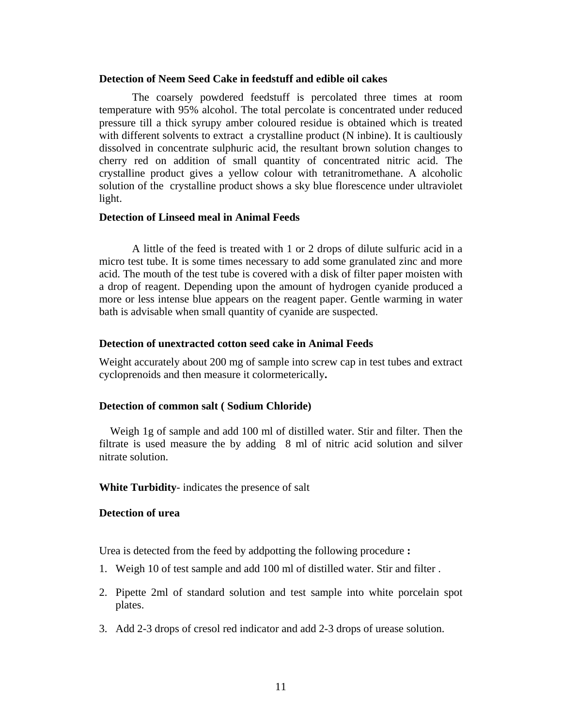#### **Detection of Neem Seed Cake in feedstuff and edible oil cakes**

The coarsely powdered feedstuff is percolated three times at room temperature with 95% alcohol. The total percolate is concentrated under reduced pressure till a thick syrupy amber coloured residue is obtained which is treated with different solvents to extract a crystalline product (N inbine). It is caultiously dissolved in concentrate sulphuric acid, the resultant brown solution changes to cherry red on addition of small quantity of concentrated nitric acid. The crystalline product gives a yellow colour with tetranitromethane. A alcoholic solution of the crystalline product shows a sky blue florescence under ultraviolet light.

## **Detection of Linseed meal in Animal Feeds**

A little of the feed is treated with 1 or 2 drops of dilute sulfuric acid in a micro test tube. It is some times necessary to add some granulated zinc and more acid. The mouth of the test tube is covered with a disk of filter paper moisten with a drop of reagent. Depending upon the amount of hydrogen cyanide produced a more or less intense blue appears on the reagent paper. Gentle warming in water bath is advisable when small quantity of cyanide are suspected.

#### **Detection of unextracted cotton seed cake in Animal Feeds**

Weight accurately about 200 mg of sample into screw cap in test tubes and extract cycloprenoids and then measure it colormeterically**.** 

#### **Detection of common salt ( Sodium Chloride)**

Weigh 1g of sample and add 100 ml of distilled water. Stir and filter. Then the filtrate is used measure the by adding 8 ml of nitric acid solution and silver nitrate solution.

#### **White Turbidity**- indicates the presence of salt

## **Detection of urea**

Urea is detected from the feed by addpotting the following procedure **:** 

- 1. Weigh 10 of test sample and add 100 ml of distilled water. Stir and filter .
- 2. Pipette 2ml of standard solution and test sample into white porcelain spot plates.
- 3. Add 2-3 drops of cresol red indicator and add 2-3 drops of urease solution.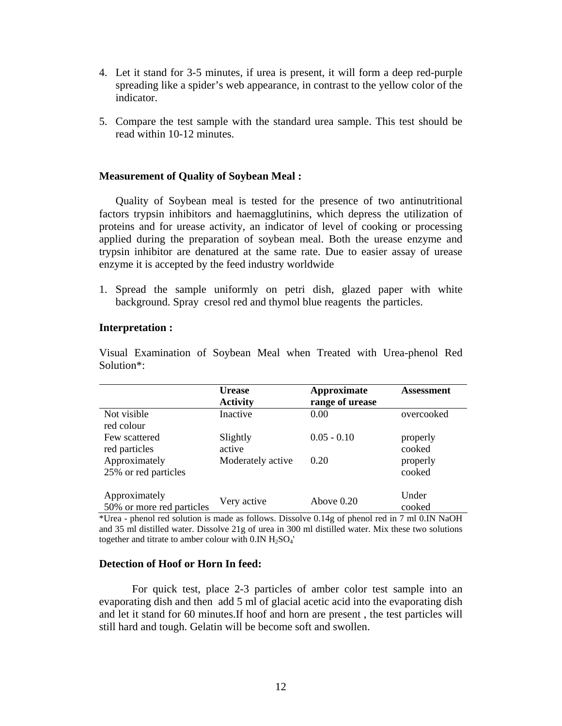- 4. Let it stand for 3-5 minutes, if urea is present, it will form a deep red-purple spreading like a spider's web appearance, in contrast to the yellow color of the indicator.
- 5. Compare the test sample with the standard urea sample. This test should be read within 10-12 minutes.

## **Measurement of Quality of Soybean Meal :**

Quality of Soybean meal is tested for the presence of two antinutritional factors trypsin inhibitors and haemagglutinins, which depress the utilization of proteins and for urease activity, an indicator of level of cooking or processing applied during the preparation of soybean meal. Both the urease enzyme and trypsin inhibitor are denatured at the same rate. Due to easier assay of urease enzyme it is accepted by the feed industry worldwide

1. Spread the sample uniformly on petri dish, glazed paper with white background. Spray cresol red and thymol blue reagents the particles.

#### **Interpretation :**

|                                            | <b>Urease</b><br><b>Activity</b> | <b>Approximate</b><br>range of urease | <b>Assessment</b>  |
|--------------------------------------------|----------------------------------|---------------------------------------|--------------------|
| Not visible<br>red colour                  | Inactive                         | 0.00                                  | overcooked         |
| Few scattered<br>red particles             | Slightly<br>active               | $0.05 - 0.10$                         | properly<br>cooked |
| Approximately<br>25% or red particles      | Moderately active                | 0.20                                  | properly<br>cooked |
| Approximately<br>50% or more red particles | Very active                      | Above $0.20$                          | Under<br>cooked    |

Visual Examination of Soybean Meal when Treated with Urea-phenol Red Solution\*:

\*Urea - phenol red solution is made as follows. Dissolve 0.14g of phenol red in 7 ml 0.IN NaOH and 35 ml distilled water. Dissolve 21g of urea in 300 ml distilled water. Mix these two solutions together and titrate to amber colour with 0.IN H<sub>2</sub>SO<sub>4</sub>'

#### **Detection of Hoof or Horn In feed:**

For quick test, place 2-3 particles of amber color test sample into an evaporating dish and then add 5 ml of glacial acetic acid into the evaporating dish and let it stand for 60 minutes.If hoof and horn are present , the test particles will still hard and tough. Gelatin will be become soft and swollen.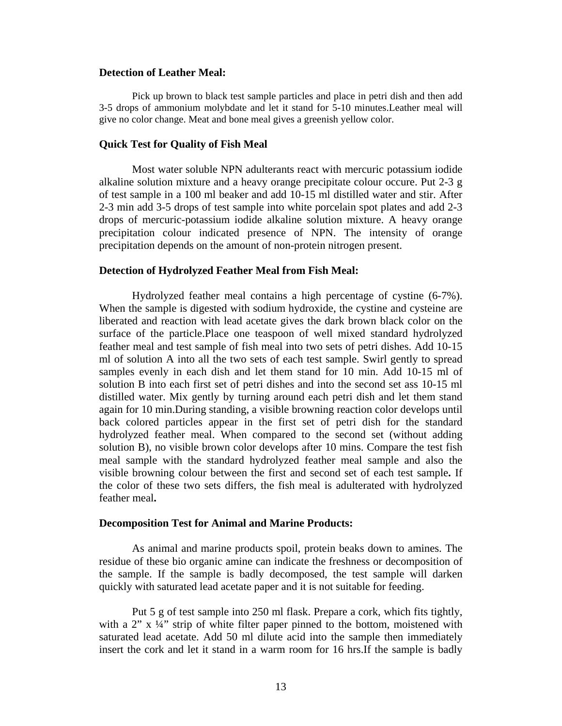## **Detection of Leather Meal:**

Pick up brown to black test sample particles and place in petri dish and then add 3-5 drops of ammonium molybdate and let it stand for 5-10 minutes.Leather meal will give no color change. Meat and bone meal gives a greenish yellow color.

#### **Quick Test for Quality of Fish Meal**

Most water soluble NPN adulterants react with mercuric potassium iodide alkaline solution mixture and a heavy orange precipitate colour occure. Put 2-3 g of test sample in a 100 ml beaker and add 10-15 ml distilled water and stir. After 2-3 min add 3-5 drops of test sample into white porcelain spot plates and add 2-3 drops of mercuric-potassium iodide alkaline solution mixture. A heavy orange precipitation colour indicated presence of NPN. The intensity of orange precipitation depends on the amount of non-protein nitrogen present.

#### **Detection of Hydrolyzed Feather Meal from Fish Meal:**

Hydrolyzed feather meal contains a high percentage of cystine (6-7%). When the sample is digested with sodium hydroxide, the cystine and cysteine are liberated and reaction with lead acetate gives the dark brown black color on the surface of the particle.Place one teaspoon of well mixed standard hydrolyzed feather meal and test sample of fish meal into two sets of petri dishes. Add 10-15 ml of solution A into all the two sets of each test sample. Swirl gently to spread samples evenly in each dish and let them stand for 10 min. Add 10-15 ml of solution B into each first set of petri dishes and into the second set ass 10-15 ml distilled water. Mix gently by turning around each petri dish and let them stand again for 10 min.During standing, a visible browning reaction color develops until back colored particles appear in the first set of petri dish for the standard hydrolyzed feather meal. When compared to the second set (without adding solution B), no visible brown color develops after 10 mins. Compare the test fish meal sample with the standard hydrolyzed feather meal sample and also the visible browning colour between the first and second set of each test sample**.** If the color of these two sets differs, the fish meal is adulterated with hydrolyzed feather meal**.** 

#### **Decomposition Test for Animal and Marine Products:**

As animal and marine products spoil, protein beaks down to amines. The residue of these bio organic amine can indicate the freshness or decomposition of the sample. If the sample is badly decomposed, the test sample will darken quickly with saturated lead acetate paper and it is not suitable for feeding.

Put 5 g of test sample into 250 ml flask. Prepare a cork, which fits tightly, with a 2"  $x \frac{1}{4}$ " strip of white filter paper pinned to the bottom, moistened with saturated lead acetate. Add 50 ml dilute acid into the sample then immediately insert the cork and let it stand in a warm room for 16 hrs.If the sample is badly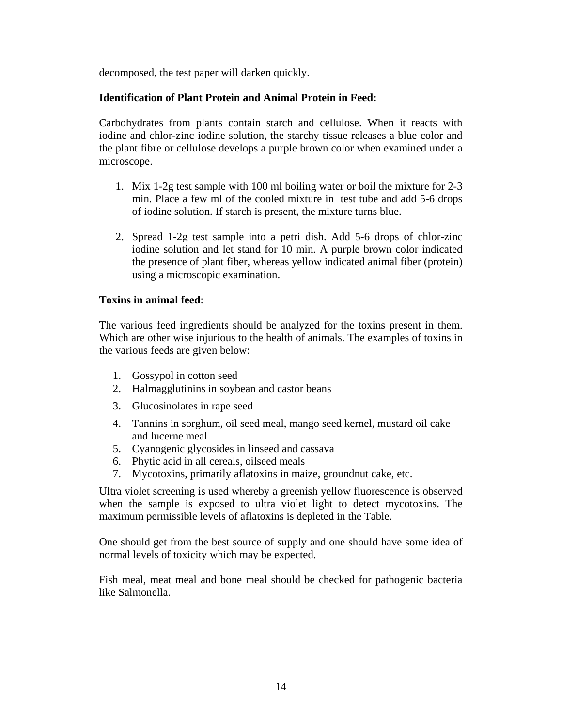decomposed, the test paper will darken quickly.

# **Identification of Plant Protein and Animal Protein in Feed:**

Carbohydrates from plants contain starch and cellulose. When it reacts with iodine and chlor-zinc iodine solution, the starchy tissue releases a blue color and the plant fibre or cellulose develops a purple brown color when examined under a microscope.

- 1. Mix 1-2g test sample with 100 ml boiling water or boil the mixture for 2-3 min. Place a few ml of the cooled mixture in test tube and add 5-6 drops of iodine solution. If starch is present, the mixture turns blue.
- 2. Spread 1-2g test sample into a petri dish. Add 5-6 drops of chlor-zinc iodine solution and let stand for 10 min. A purple brown color indicated the presence of plant fiber, whereas yellow indicated animal fiber (protein) using a microscopic examination.

## **Toxins in animal feed**:

The various feed ingredients should be analyzed for the toxins present in them. Which are other wise injurious to the health of animals. The examples of toxins in the various feeds are given below:

- 1. Gossypol in cotton seed
- 2. Halmagglutinins in soybean and castor beans
- 3. Glucosinolates in rape seed
- 4. Tannins in sorghum, oil seed meal, mango seed kernel, mustard oil cake and lucerne meal
- 5. Cyanogenic glycosides in linseed and cassava
- 6. Phytic acid in all cereals, oilseed meals
- 7. Mycotoxins, primarily aflatoxins in maize, groundnut cake, etc.

Ultra violet screening is used whereby a greenish yellow fluorescence is observed when the sample is exposed to ultra violet light to detect mycotoxins. The maximum permissible levels of aflatoxins is depleted in the Table.

One should get from the best source of supply and one should have some idea of normal levels of toxicity which may be expected.

Fish meal, meat meal and bone meal should be checked for pathogenic bacteria like Salmonella.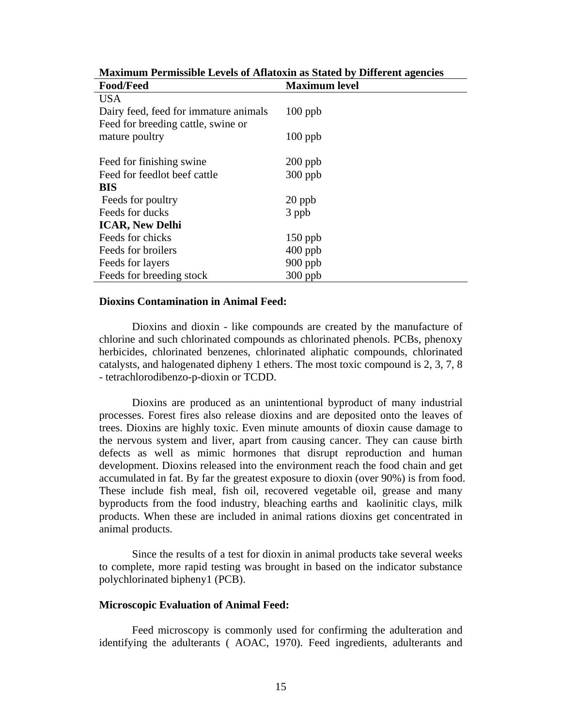| <b>Food/Feed</b>                      | <b>Maximum level</b> |
|---------------------------------------|----------------------|
| <b>USA</b>                            |                      |
| Dairy feed, feed for immature animals | $100$ ppb            |
| Feed for breeding cattle, swine or    |                      |
| mature poultry                        | $100$ ppb            |
|                                       |                      |
| Feed for finishing swine              | $200$ ppb            |
| Feed for feedlot beef cattle          | $300$ ppb            |
| <b>BIS</b>                            |                      |
| Feeds for poultry                     | $20$ ppb             |
| Feeds for ducks                       | 3 ppb                |
| <b>ICAR, New Delhi</b>                |                      |
| Feeds for chicks                      | $150$ ppb            |
| Feeds for broilers                    | $400$ ppb            |
| Feeds for layers                      | $900$ ppb            |
| Feeds for breeding stock              | $300$ ppb            |

**Maximum Permissible Levels of Aflatoxin as Stated by Different agencies** 

#### **Dioxins Contamination in Animal Feed:**

Dioxins and dioxin - like compounds are created by the manufacture of chlorine and such chlorinated compounds as chlorinated phenols. PCBs, phenoxy herbicides, chlorinated benzenes, chlorinated aliphatic compounds, chlorinated catalysts, and halogenated dipheny 1 ethers. The most toxic compound is 2, 3, 7, 8 - tetrachlorodibenzo-p-dioxin or TCDD.

Dioxins are produced as an unintentional byproduct of many industrial processes. Forest fires also release dioxins and are deposited onto the leaves of trees. Dioxins are highly toxic. Even minute amounts of dioxin cause damage to the nervous system and liver, apart from causing cancer. They can cause birth defects as well as mimic hormones that disrupt reproduction and human development. Dioxins released into the environment reach the food chain and get accumulated in fat. By far the greatest exposure to dioxin (over 90%) is from food. These include fish meal, fish oil, recovered vegetable oil, grease and many byproducts from the food industry, bleaching earths and kaolinitic clays, milk products. When these are included in animal rations dioxins get concentrated in animal products.

Since the results of a test for dioxin in animal products take several weeks to complete, more rapid testing was brought in based on the indicator substance polychlorinated bipheny1 (PCB).

#### **Microscopic Evaluation of Animal Feed:**

Feed microscopy is commonly used for confirming the adulteration and identifying the adulterants ( AOAC, 1970). Feed ingredients, adulterants and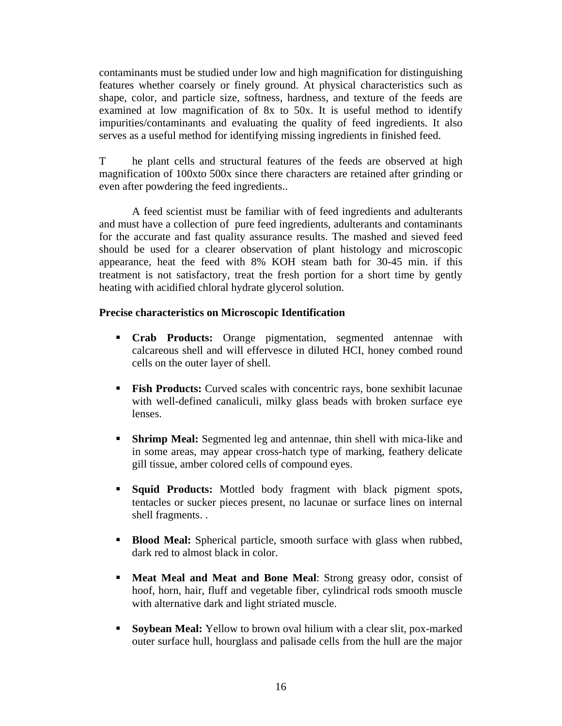contaminants must be studied under low and high magnification for distinguishing features whether coarsely or finely ground. At physical characteristics such as shape, color, and particle size, softness, hardness, and texture of the feeds are examined at low magnification of 8x to 50x. It is useful method to identify impurities/contaminants and evaluating the quality of feed ingredients. It also serves as a useful method for identifying missing ingredients in finished feed.

T he plant cells and structural features of the feeds are observed at high magnification of 100xto 500x since there characters are retained after grinding or even after powdering the feed ingredients..

A feed scientist must be familiar with of feed ingredients and adulterants and must have a collection of pure feed ingredients, adulterants and contaminants for the accurate and fast quality assurance results. The mashed and sieved feed should be used for a clearer observation of plant histology and microscopic appearance, heat the feed with 8% KOH steam bath for 30-45 min. if this treatment is not satisfactory, treat the fresh portion for a short time by gently heating with acidified chloral hydrate glycerol solution.

# **Precise characteristics on Microscopic Identification**

- **Crab Products:** Orange pigmentation, segmented antennae with calcareous shell and will effervesce in diluted HCI, honey combed round cells on the outer layer of shell.
- **Fish Products:** Curved scales with concentric rays, bone sexhibit lacunae with well-defined canaliculi, milky glass beads with broken surface eye lenses.
- **Shrimp Meal:** Segmented leg and antennae, thin shell with mica-like and in some areas, may appear cross-hatch type of marking, feathery delicate gill tissue, amber colored cells of compound eyes.
- **Squid Products:** Mottled body fragment with black pigment spots, tentacles or sucker pieces present, no lacunae or surface lines on internal shell fragments. .
- **Blood Meal:** Spherical particle, smooth surface with glass when rubbed, dark red to almost black in color.
- **Meat Meal and Meat and Bone Meal**: Strong greasy odor, consist of hoof, horn, hair, fluff and vegetable fiber, cylindrical rods smooth muscle with alternative dark and light striated muscle.
- **Soybean Meal:** Yellow to brown oval hilium with a clear slit, pox-marked outer surface hull, hourglass and palisade cells from the hull are the major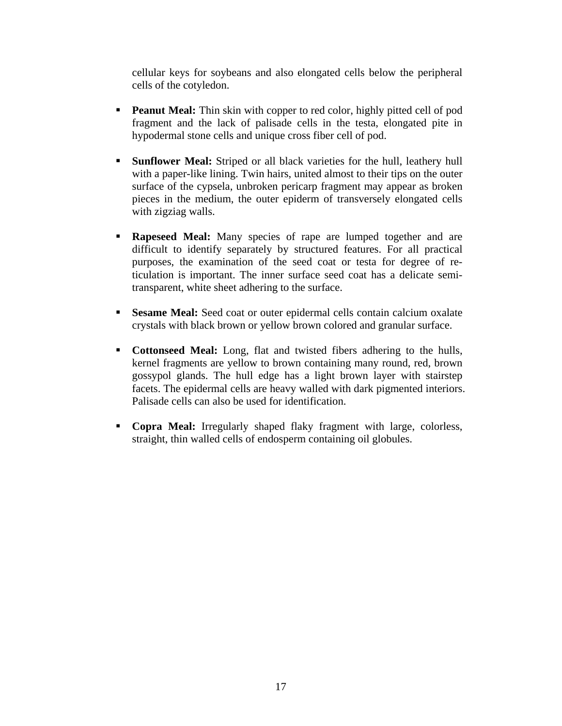cellular keys for soybeans and also elongated cells below the peripheral cells of the cotyledon.

- **Peanut Meal:** Thin skin with copper to red color, highly pitted cell of pod fragment and the lack of palisade cells in the testa, elongated pite in hypodermal stone cells and unique cross fiber cell of pod.
- **Sunflower Meal:** Striped or all black varieties for the hull, leathery hull with a paper-like lining. Twin hairs, united almost to their tips on the outer surface of the cypsela, unbroken pericarp fragment may appear as broken pieces in the medium, the outer epiderm of transversely elongated cells with zigziag walls.
- **Rapeseed Meal:** Many species of rape are lumped together and are difficult to identify separately by structured features. For all practical purposes, the examination of the seed coat or testa for degree of reticulation is important. The inner surface seed coat has a delicate semitransparent, white sheet adhering to the surface.
- **Sesame Meal:** Seed coat or outer epidermal cells contain calcium oxalate crystals with black brown or yellow brown colored and granular surface.
- **Cottonseed Meal:** Long, flat and twisted fibers adhering to the hulls, kernel fragments are yellow to brown containing many round, red, brown gossypol glands. The hull edge has a light brown layer with stairstep facets. The epidermal cells are heavy walled with dark pigmented interiors. Palisade cells can also be used for identification.
- **Copra Meal:** Irregularly shaped flaky fragment with large, colorless, straight, thin walled cells of endosperm containing oil globules.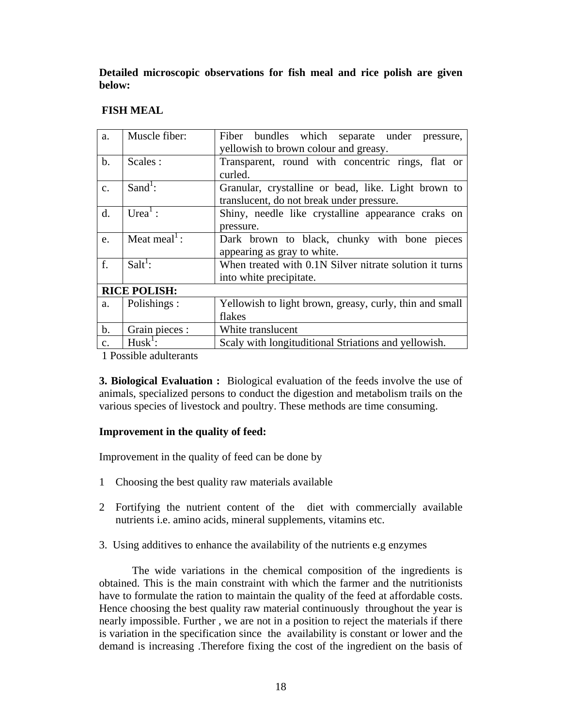**Detailed microscopic observations for fish meal and rice polish are given below:**

# **FISH MEAL**

| a.             | Muscle fiber:                          | Fiber bundles which separate under pressure,<br>yellowish to brown colour and greasy.            |
|----------------|----------------------------------------|--------------------------------------------------------------------------------------------------|
| $\mathbf{b}$ . | Scales:                                | Transparent, round with concentric rings, flat or<br>curled.                                     |
| $\mathbf{C}$ . | $Sand1$ :                              | Granular, crystalline or bead, like. Light brown to<br>translucent, do not break under pressure. |
| $\mathbf{d}$ . | Urea $\cdot$ :                         | Shiny, needle like crystalline appearance craks on<br>pressure.                                  |
| e.             | Meat meal <sup><math>\,</math></sup> : | Dark brown to black, chunky with bone pieces<br>appearing as gray to white.                      |
| f.             | $Salt1$ :                              | When treated with 0.1N Silver nitrate solution it turns<br>into white precipitate.               |
|                | <b>RICE POLISH:</b>                    |                                                                                                  |
| a.             | Polishings :                           | Yellowish to light brown, greasy, curly, thin and small                                          |
|                |                                        | flakes                                                                                           |
| $\mathbf{b}$ . | Grain pieces :                         | White translucent                                                                                |
| $\mathbf{c}$ . | $Husk^{\perp}$ :                       | Scaly with longituditional Striations and yellowish.                                             |

1 Possible adulterants

**3. Biological Evaluation :** Biological evaluation of the feeds involve the use of animals, specialized persons to conduct the digestion and metabolism trails on the various species of livestock and poultry. These methods are time consuming.

# **Improvement in the quality of feed:**

Improvement in the quality of feed can be done by

- 1 Choosing the best quality raw materials available
- 2 Fortifying the nutrient content of the diet with commercially available nutrients i.e. amino acids, mineral supplements, vitamins etc.
- 3. Using additives to enhance the availability of the nutrients e.g enzymes

The wide variations in the chemical composition of the ingredients is obtained. This is the main constraint with which the farmer and the nutritionists have to formulate the ration to maintain the quality of the feed at affordable costs. Hence choosing the best quality raw material continuously throughout the year is nearly impossible. Further , we are not in a position to reject the materials if there is variation in the specification since the availability is constant or lower and the demand is increasing .Therefore fixing the cost of the ingredient on the basis of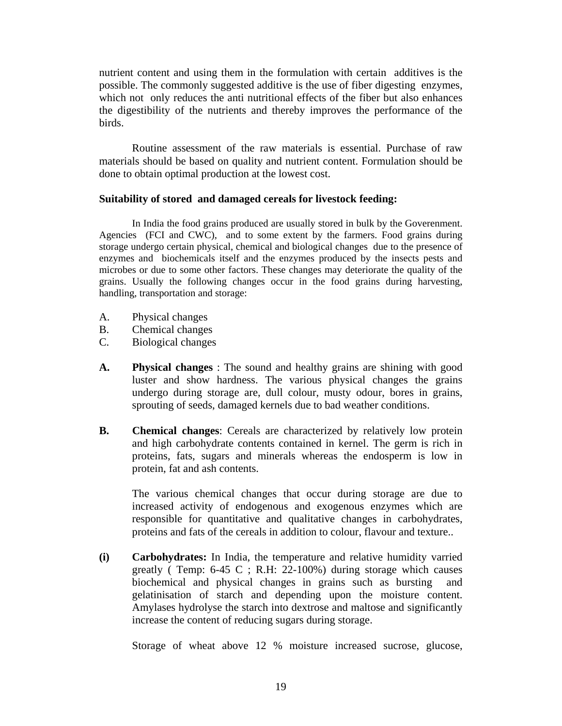nutrient content and using them in the formulation with certain additives is the possible. The commonly suggested additive is the use of fiber digesting enzymes, which not only reduces the anti nutritional effects of the fiber but also enhances the digestibility of the nutrients and thereby improves the performance of the birds.

Routine assessment of the raw materials is essential. Purchase of raw materials should be based on quality and nutrient content. Formulation should be done to obtain optimal production at the lowest cost.

## **Suitability of stored and damaged cereals for livestock feeding:**

In India the food grains produced are usually stored in bulk by the Goverenment. Agencies (FCI and CWC), and to some extent by the farmers. Food grains during storage undergo certain physical, chemical and biological changes due to the presence of enzymes and biochemicals itself and the enzymes produced by the insects pests and microbes or due to some other factors. These changes may deteriorate the quality of the grains. Usually the following changes occur in the food grains during harvesting, handling, transportation and storage:

- A. Physical changes
- B. Chemical changes
- C. Biological changes
- **A. Physical changes** : The sound and healthy grains are shining with good luster and show hardness. The various physical changes the grains undergo during storage are, dull colour, musty odour, bores in grains, sprouting of seeds, damaged kernels due to bad weather conditions.
- **B. Chemical changes**: Cereals are characterized by relatively low protein and high carbohydrate contents contained in kernel. The germ is rich in proteins, fats, sugars and minerals whereas the endosperm is low in protein, fat and ash contents.

The various chemical changes that occur during storage are due to increased activity of endogenous and exogenous enzymes which are responsible for quantitative and qualitative changes in carbohydrates, proteins and fats of the cereals in addition to colour, flavour and texture..

**(i) Carbohydrates:** In India, the temperature and relative humidity varried greatly ( Temp: 6-45 C ; R.H: 22-100%) during storage which causes biochemical and physical changes in grains such as bursting and gelatinisation of starch and depending upon the moisture content. Amylases hydrolyse the starch into dextrose and maltose and significantly increase the content of reducing sugars during storage.

Storage of wheat above 12 % moisture increased sucrose, glucose,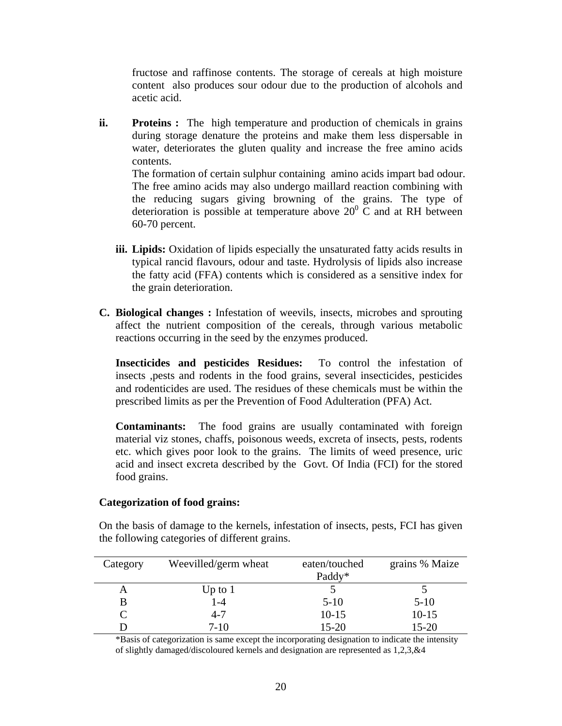fructose and raffinose contents. The storage of cereals at high moisture content also produces sour odour due to the production of alcohols and acetic acid.

**ii. Proteins**: The high temperature and production of chemicals in grains during storage denature the proteins and make them less dispersable in water, deteriorates the gluten quality and increase the free amino acids contents.

The formation of certain sulphur containing amino acids impart bad odour. The free amino acids may also undergo maillard reaction combining with the reducing sugars giving browning of the grains. The type of deterioration is possible at temperature above  $20^{\circ}$  C and at RH between 60-70 percent.

- **iii. Lipids:** Oxidation of lipids especially the unsaturated fatty acids results in typical rancid flavours, odour and taste. Hydrolysis of lipids also increase the fatty acid (FFA) contents which is considered as a sensitive index for the grain deterioration.
- **C. Biological changes :** Infestation of weevils, insects, microbes and sprouting affect the nutrient composition of the cereals, through various metabolic reactions occurring in the seed by the enzymes produced.

**Insecticides and pesticides Residues:** To control the infestation of insects ,pests and rodents in the food grains, several insecticides, pesticides and rodenticides are used. The residues of these chemicals must be within the prescribed limits as per the Prevention of Food Adulteration (PFA) Act.

**Contaminants:** The food grains are usually contaminated with foreign material viz stones, chaffs, poisonous weeds, excreta of insects, pests, rodents etc. which gives poor look to the grains. The limits of weed presence, uric acid and insect excreta described by the Govt. Of India (FCI) for the stored food grains.

#### **Categorization of food grains:**

On the basis of damage to the kernels, infestation of insects, pests, FCI has given the following categories of different grains.

| Category | Weevilled/germ wheat | eaten/touched<br>Paddy* | grains % Maize |
|----------|----------------------|-------------------------|----------------|
| A        | Up to $1$            |                         |                |
|          | $1 - 4$              | $5 - 10$                | $5-10$         |
|          | $4 - 7$              | $10-15$                 | $10 - 15$      |
|          | 7-10                 | $15 - 20$               | $15 - 20$      |

\*Basis of categorization is same except the incorporating designation to indicate the intensity of slightly damaged/discoloured kernels and designation are represented as 1,2,3,&4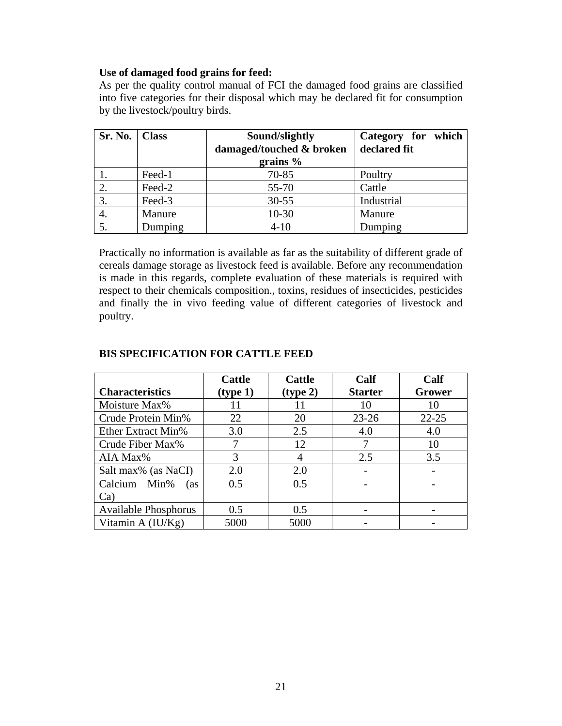## **Use of damaged food grains for feed:**

As per the quality control manual of FCI the damaged food grains are classified into five categories for their disposal which may be declared fit for consumption by the livestock/poultry birds.

| Sr. No.   Class |         | Sound/slightly           | Category for which |
|-----------------|---------|--------------------------|--------------------|
|                 |         | damaged/touched & broken | declared fit       |
|                 |         | grains $%$               |                    |
|                 | Feed-1  | 70-85                    | Poultry            |
|                 | Feed-2  | 55-70                    | Cattle             |
| 3.              | Feed-3  | $30 - 55$                | Industrial         |
| 4.              | Manure  | $10 - 30$                | Manure             |
|                 | Dumping | $4 - 10$                 | Dumping            |

Practically no information is available as far as the suitability of different grade of cereals damage storage as livestock feed is available. Before any recommendation is made in this regards, complete evaluation of these materials is required with respect to their chemicals composition., toxins, residues of insecticides, pesticides and finally the in vivo feeding value of different categories of livestock and poultry.

|                        | <b>Cattle</b> | Cattle   | Calf           | Calf      |
|------------------------|---------------|----------|----------------|-----------|
| <b>Characteristics</b> | (type1)       | (type 2) | <b>Starter</b> | Grower    |
| Moisture Max%          | 11            |          |                | 10        |
| Crude Protein Min%     | 22            | 20       | $23 - 26$      | $22 - 25$ |
| Ether Extract Min%     | 3.0           | 2.5      | 4.0            | 4.0       |
| Crude Fiber Max%       | 7             | 12       |                | 10        |
| AIA Max%               | 3             |          | 2.5            | 3.5       |
| Salt max% (as NaCI)    | 2.0           | 2.0      |                |           |
| Min%<br>Calcium<br>(as | 0.5           | 0.5      |                |           |
| Ca                     |               |          |                |           |
| Available Phosphorus   | 0.5           | 0.5      |                |           |
| Vitamin A $(IU/Kg)$    | 5000          | 5000     |                |           |

# **BIS SPECIFICATION FOR CATTLE FEED**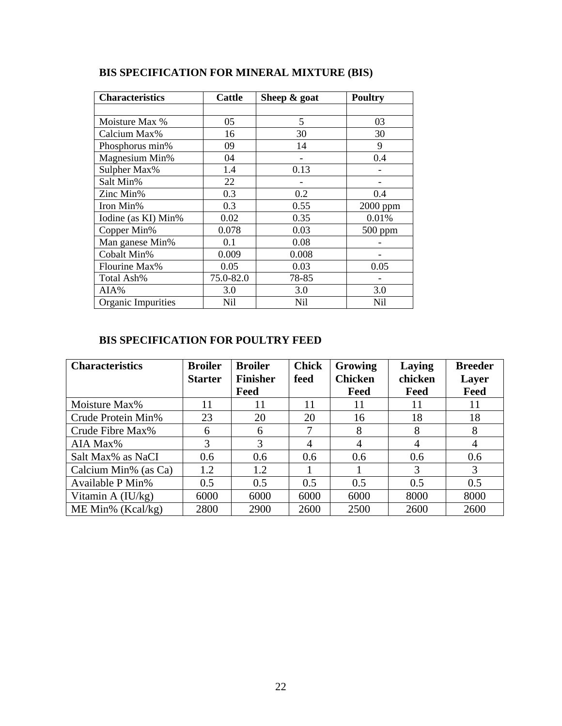| <b>Characteristics</b> | <b>Cattle</b> | Sheep $\&$ goat | <b>Poultry</b> |
|------------------------|---------------|-----------------|----------------|
|                        |               |                 |                |
| Moisture Max %         | 05            | 5               | 03             |
| Calcium Max%           | 16            | 30              | 30             |
| Phosphorus min%        | 09            | 14              | 9              |
| Magnesium Min%         | 04            |                 | 0.4            |
| Sulpher Max%           | 1.4           | 0.13            |                |
| Salt Min%              | 22            |                 |                |
| Zinc Min%              | 0.3           | 0.2             | 0.4            |
| Iron Min%              | 0.3           | 0.55            | 2000 ppm       |
| Iodine (as KI) Min%    | 0.02          | 0.35            | 0.01%          |
| Copper Min%            | 0.078         | 0.03            | 500 ppm        |
| Man ganese Min%        | 0.1           | 0.08            |                |
| Cobalt Min%            | 0.009         | 0.008           |                |
| Flourine Max%          | 0.05          | 0.03            | 0.05           |
| Total Ash%             | 75.0-82.0     | 78-85           |                |
| AIA%                   | 3.0           | 3.0             | 3.0            |
| Organic Impurities     | Nil           | Nil             | Nil            |

# **BIS SPECIFICATION FOR MINERAL MIXTURE (BIS)**

# **BIS SPECIFICATION FOR POULTRY FEED**

| <b>Characteristics</b> | <b>Broiler</b><br><b>Starter</b> | <b>Broiler</b><br><b>Finisher</b> | <b>Chick</b><br>feed | Growing<br><b>Chicken</b> | Laying<br>chicken | <b>Breeder</b><br>Layer |
|------------------------|----------------------------------|-----------------------------------|----------------------|---------------------------|-------------------|-------------------------|
|                        |                                  | Feed                              |                      | Feed                      | Feed              | Feed                    |
| Moisture Max%          | 11                               | 11                                | 11                   | 11                        | 11                | 11                      |
| Crude Protein Min%     | 23                               | 20                                | 20                   | 16                        | 18                | 18                      |
| Crude Fibre Max%       | 6                                | 6                                 |                      | 8                         | 8                 | 8                       |
| AIA Max%               | 3                                | 3                                 | $\overline{4}$       | $\overline{A}$            | $\overline{A}$    | 4                       |
| Salt Max% as NaCI      | 0.6                              | 0.6                               | 0.6                  | 0.6                       | 0.6               | 0.6                     |
| Calcium Min% (as Ca)   | 1.2                              | 1.2                               |                      |                           | 3                 | 3                       |
| Available P Min%       | 0.5                              | 0.5                               | 0.5                  | 0.5                       | 0.5               | 0.5                     |
| Vitamin A $(IU/kg)$    | 6000                             | 6000                              | 6000                 | 6000                      | 8000              | 8000                    |
| $ME Min\%$ (Kcal/kg)   | 2800                             | 2900                              | 2600                 | 2500                      | 2600              | 2600                    |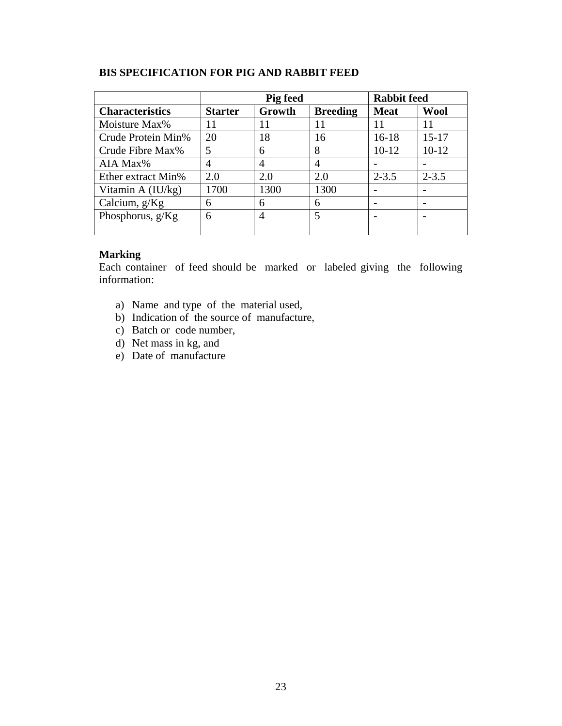|                 | <b>Rabbit feed</b>                             |  |
|-----------------|------------------------------------------------|--|
| <b>Breeding</b> | Wool                                           |  |
|                 | 11                                             |  |
|                 | $15 - 17$                                      |  |
|                 | $10-12$                                        |  |
|                 |                                                |  |
| 2.0             | $2 - 3.5$                                      |  |
| 1300            |                                                |  |
|                 |                                                |  |
|                 |                                                |  |
|                 | <b>Meat</b><br>$16-18$<br>$10-12$<br>$2 - 3.5$ |  |

# **Marking**

Each container of feed should be marked or labeled giving the following information:

- a) Name and type of the material used,
- b) Indication of the source of manufacture,
- c) Batch or code number,
- d) Net mass in kg, and
- e) Date of manufacture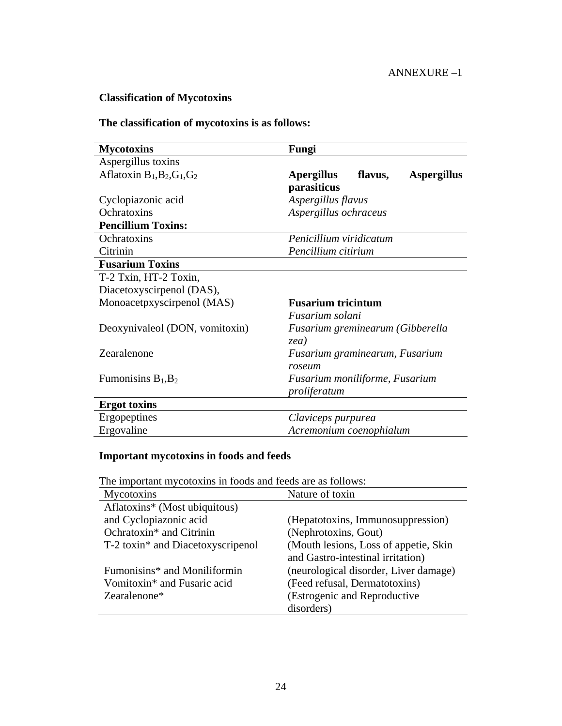# **Classification of Mycotoxins**

# **The classification of mycotoxins is as follows:**

| <b>Mycotoxins</b>                       | Fungi                                              |  |  |
|-----------------------------------------|----------------------------------------------------|--|--|
| Aspergillus toxins                      |                                                    |  |  |
| Aflatoxin $B_1$ , $B_2$ , $G_1$ , $G_2$ | <b>Apergillus</b><br>flavus,<br><b>Aspergillus</b> |  |  |
|                                         | parasiticus                                        |  |  |
| Cyclopiazonic acid                      | Aspergillus flavus                                 |  |  |
| Ochratoxins                             | Aspergillus ochraceus                              |  |  |
| <b>Pencillium Toxins:</b>               |                                                    |  |  |
| Ochratoxins                             | Penicillium viridicatum                            |  |  |
| Citrinin                                | Pencillium citirium                                |  |  |
| <b>Fusarium Toxins</b>                  |                                                    |  |  |
| T-2 Txin, HT-2 Toxin,                   |                                                    |  |  |
| Diacetoxyscirpenol (DAS),               |                                                    |  |  |
| Monoacetpxyscirpenol (MAS)              | <b>Fusarium tricintum</b>                          |  |  |
|                                         | Fusarium solani                                    |  |  |
| Deoxynivaleol (DON, vomitoxin)          | Fusarium greminearum (Gibberella                   |  |  |
|                                         | zea)                                               |  |  |
| Zearalenone                             | Fusarium graminearum, Fusarium                     |  |  |
|                                         | roseum                                             |  |  |
| Fumonisins $B_1$ , $B_2$                | Fusarium moniliforme, Fusarium                     |  |  |
|                                         | proliferatum                                       |  |  |
| <b>Ergot toxins</b>                     |                                                    |  |  |
| Ergopeptines                            | Claviceps purpurea                                 |  |  |
| Ergovaline                              | Acremonium coenophialum                            |  |  |

# **Important mycotoxins in foods and feeds**

The important mycotoxins in foods and feeds are as follows:

| Mycotoxins                                    | Nature of toxin                       |
|-----------------------------------------------|---------------------------------------|
| Aflatoxins* (Most ubiquitous)                 |                                       |
| and Cyclopiazonic acid                        | (Hepatotoxins, Immunosuppression)     |
| Ochratoxin <sup>*</sup> and Citrinin          | (Nephrotoxins, Gout)                  |
| T-2 toxin <sup>*</sup> and Diacetoxyscripenol | (Mouth lesions, Loss of appetie, Skin |
|                                               | and Gastro-intestinal irritation)     |
| Fumonisins* and Moniliformin                  | (neurological disorder, Liver damage) |
| Vomitoxin <sup>*</sup> and Fusaric acid       | (Feed refusal, Dermatotoxins)         |
| Zearalenone <sup>*</sup>                      | (Estrogenic and Reproductive          |
|                                               | disorders)                            |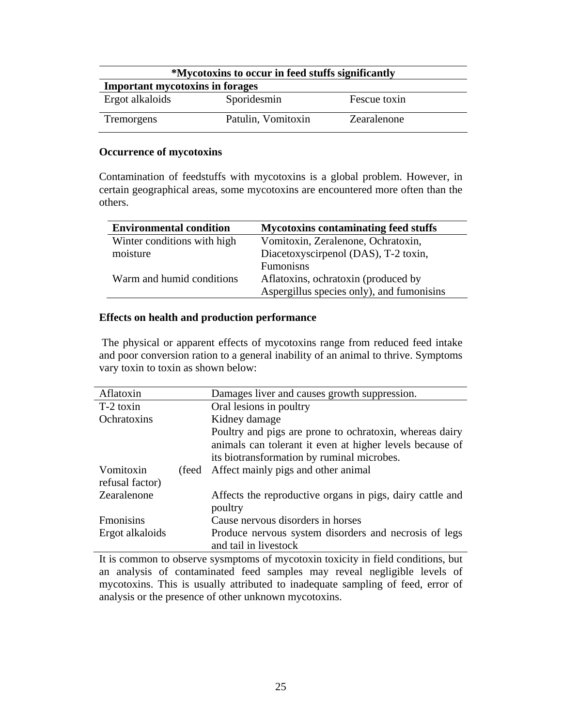| *Mycotoxins to occur in feed stuffs significantly |                    |              |  |
|---------------------------------------------------|--------------------|--------------|--|
| <b>Important mycotoxins in forages</b>            |                    |              |  |
| Ergot alkaloids                                   | Sporidesmin        | Fescue toxin |  |
| <b>Tremorgens</b>                                 | Patulin, Vomitoxin | Zearalenone  |  |

## **Occurrence of mycotoxins**

Contamination of feedstuffs with mycotoxins is a global problem. However, in certain geographical areas, some mycotoxins are encountered more often than the others.

| <b>Environmental condition</b> | <b>Mycotoxins contaminating feed stuffs</b> |
|--------------------------------|---------------------------------------------|
| Winter conditions with high    | Vomitoxin, Zeralenone, Ochratoxin,          |
| moisture                       | Diacetoxyscirpenol (DAS), T-2 toxin,        |
|                                | <b>Fumonisns</b>                            |
| Warm and humid conditions      | Aflatoxins, ochratoxin (produced by         |
|                                | Aspergillus species only), and fumonisins   |

## **Effects on health and production performance**

The physical or apparent effects of mycotoxins range from reduced feed intake and poor conversion ration to a general inability of an animal to thrive. Symptoms vary toxin to toxin as shown below:

|        | Damages liver and causes growth suppression.              |
|--------|-----------------------------------------------------------|
|        | Oral lesions in poultry                                   |
|        | Kidney damage                                             |
|        | Poultry and pigs are prone to ochratoxin, whereas dairy   |
|        | animals can tolerant it even at higher levels because of  |
|        | its biotransformation by ruminal microbes.                |
| (feed) | Affect mainly pigs and other animal                       |
|        |                                                           |
|        | Affects the reproductive organs in pigs, dairy cattle and |
|        | poultry                                                   |
|        | Cause nervous disorders in horses                         |
|        | Produce nervous system disorders and necrosis of legs     |
|        | and tail in livestock                                     |
|        |                                                           |

It is common to observe sysmptoms of mycotoxin toxicity in field conditions, but an analysis of contaminated feed samples may reveal negligible levels of mycotoxins. This is usually attributed to inadequate sampling of feed, error of analysis or the presence of other unknown mycotoxins.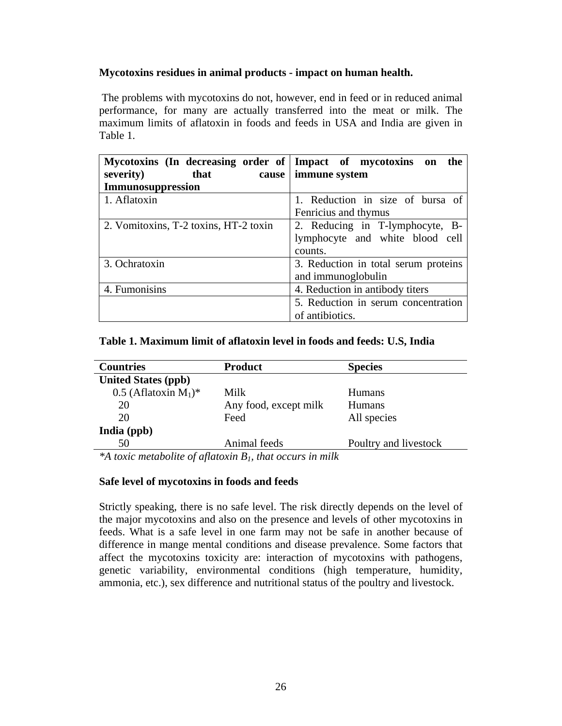## **Mycotoxins residues in animal products - impact on human health.**

The problems with mycotoxins do not, however, end in feed or in reduced animal performance, for many are actually transferred into the meat or milk. The maximum limits of aflatoxin in foods and feeds in USA and India are given in Table 1.

| Mycotoxins (In decreasing order of Impact of mycotoxins on               | the                                  |  |
|--------------------------------------------------------------------------|--------------------------------------|--|
| severity)<br>that                                                        | cause   immune system                |  |
| Immunosuppression                                                        |                                      |  |
| 1. Aflatoxin                                                             | 1. Reduction in size of bursa of     |  |
|                                                                          | Fenricius and thymus                 |  |
| 2. Reducing in T-lymphocyte, B-<br>2. Vomitoxins, T-2 toxins, HT-2 toxin |                                      |  |
|                                                                          | lymphocyte and white blood cell      |  |
|                                                                          | counts.                              |  |
| 3. Ochratoxin                                                            | 3. Reduction in total serum proteins |  |
|                                                                          | and immunoglobulin                   |  |
| 4. Fumonisins                                                            | 4. Reduction in antibody titers      |  |
|                                                                          | 5. Reduction in serum concentration  |  |
|                                                                          | of antibiotics.                      |  |

## **Table 1. Maximum limit of aflatoxin level in foods and feeds: U.S, India**

| <b>Countries</b>                   | <b>Product</b>        | <b>Species</b>        |
|------------------------------------|-----------------------|-----------------------|
| <b>United States (ppb)</b>         |                       |                       |
| $0.5$ (Aflatoxin M <sub>1</sub> )* | Milk                  | <b>Humans</b>         |
| 20                                 | Any food, except milk | <b>Humans</b>         |
| 20                                 | Feed                  | All species           |
| India (ppb)                        |                       |                       |
| 50                                 | Animal feeds          | Poultry and livestock |

*\*A toxic metabolite of aflatoxin B1, that occurs in milk* 

## **Safe level of mycotoxins in foods and feeds**

Strictly speaking, there is no safe level. The risk directly depends on the level of the major mycotoxins and also on the presence and levels of other mycotoxins in feeds. What is a safe level in one farm may not be safe in another because of difference in mange mental conditions and disease prevalence. Some factors that affect the mycotoxins toxicity are: interaction of mycotoxins with pathogens, genetic variability, environmental conditions (high temperature, humidity, ammonia, etc.), sex difference and nutritional status of the poultry and livestock.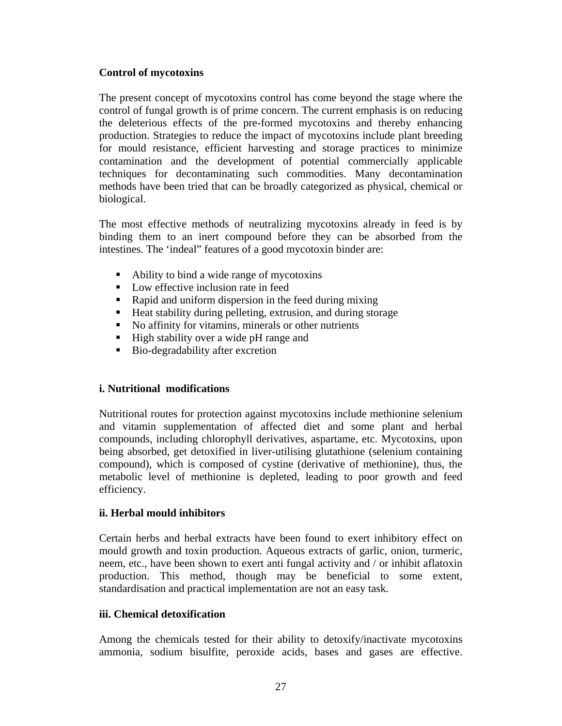# **Control of mycotoxins**

The present concept of mycotoxins control has come beyond the stage where the control of fungal growth is of prime concern. The current emphasis is on reducing the deleterious effects of the pre-formed mycotoxins and thereby enhancing production. Strategies to reduce the impact of mycotoxins include plant breeding for mould resistance, efficient harvesting and storage practices to minimize contamination and the development of potential commercially applicable techniques for decontaminating such commodities. Many decontamination methods have been tried that can be broadly categorized as physical, chemical or biological.

The most effective methods of neutralizing mycotoxins already in feed is by binding them to an inert compound before they can be absorbed from the intestines. The 'indeal" features of a good mycotoxin binder are:

- Ability to bind a wide range of mycotoxins
- Low effective inclusion rate in feed
- Rapid and uniform dispersion in the feed during mixing
- Heat stability during pelleting, extrusion, and during storage
- No affinity for vitamins, minerals or other nutrients
- $\blacksquare$  High stability over a wide pH range and
- Bio-degradability after excretion

# **i. Nutritional modifications**

Nutritional routes for protection against mycotoxins include methionine selenium and vitamin supplementation of affected diet and some plant and herbal compounds, including chlorophyll derivatives, aspartame, etc. Mycotoxins, upon being absorbed, get detoxified in liver-utilising glutathione (selenium containing compound), which is composed of cystine (derivative of methionine), thus, the metabolic level of methionine is depleted, leading to poor growth and feed efficiency.

# **ii. Herbal mould inhibitors**

Certain herbs and herbal extracts have been found to exert inhibitory effect on mould growth and toxin production. Aqueous extracts of garlic, onion, turmeric, neem, etc., have been shown to exert anti fungal activity and / or inhibit aflatoxin production. This method, though may be beneficial to some extent, standardisation and practical implementation are not an easy task.

# **iii. Chemical detoxification**

Among the chemicals tested for their ability to detoxify/inactivate mycotoxins ammonia, sodium bisulfite, peroxide acids, bases and gases are effective.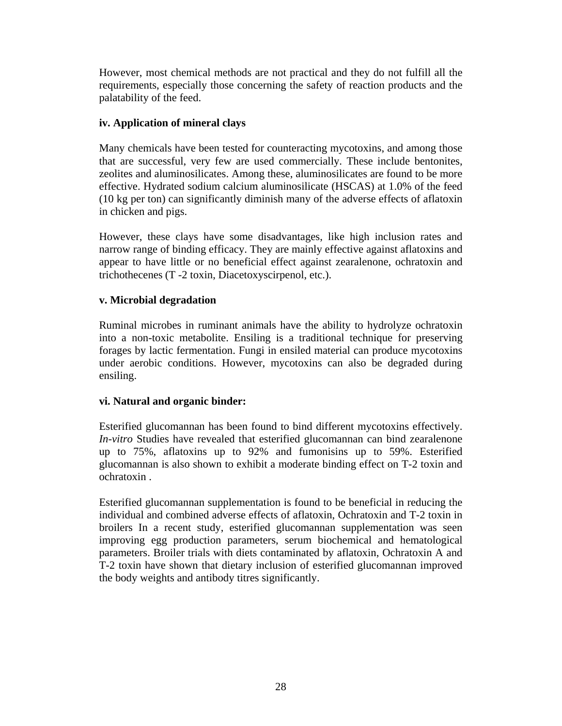However, most chemical methods are not practical and they do not fulfill all the requirements, especially those concerning the safety of reaction products and the palatability of the feed.

# **iv. Application of mineral clays**

Many chemicals have been tested for counteracting mycotoxins, and among those that are successful, very few are used commercially. These include bentonites, zeolites and aluminosilicates. Among these, aluminosilicates are found to be more effective. Hydrated sodium calcium aluminosilicate (HSCAS) at 1.0% of the feed (10 kg per ton) can significantly diminish many of the adverse effects of aflatoxin in chicken and pigs.

However, these clays have some disadvantages, like high inclusion rates and narrow range of binding efficacy. They are mainly effective against aflatoxins and appear to have little or no beneficial effect against zearalenone, ochratoxin and trichothecenes (T -2 toxin, Diacetoxyscirpenol, etc.).

# **v. Microbial degradation**

Ruminal microbes in ruminant animals have the ability to hydrolyze ochratoxin into a non-toxic metabolite. Ensiling is a traditional technique for preserving forages by lactic fermentation. Fungi in ensiled material can produce mycotoxins under aerobic conditions. However, mycotoxins can also be degraded during ensiling.

## **vi. Natural and organic binder:**

Esterified glucomannan has been found to bind different mycotoxins effectively. *In-vitro* Studies have revealed that esterified glucomannan can bind zearalenone up to 75%, aflatoxins up to 92% and fumonisins up to 59%. Esterified glucomannan is also shown to exhibit a moderate binding effect on T-2 toxin and ochratoxin .

Esterified glucomannan supplementation is found to be beneficial in reducing the individual and combined adverse effects of aflatoxin, Ochratoxin and T-2 toxin in broilers In a recent study, esterified glucomannan supplementation was seen improving egg production parameters, serum biochemical and hematological parameters. Broiler trials with diets contaminated by aflatoxin, Ochratoxin A and T-2 toxin have shown that dietary inclusion of esterified glucomannan improved the body weights and antibody titres significantly.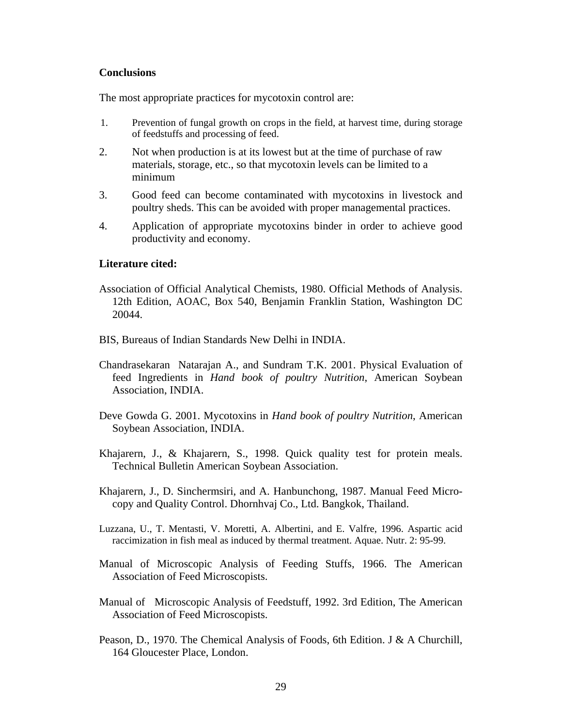### **Conclusions**

The most appropriate practices for mycotoxin control are:

- 1. Prevention of fungal growth on crops in the field, at harvest time, during storage of feedstuffs and processing of feed.
- 2. Not when production is at its lowest but at the time of purchase of raw materials, storage, etc., so that mycotoxin levels can be limited to a minimum
- 3. Good feed can become contaminated with mycotoxins in livestock and poultry sheds. This can be avoided with proper managemental practices.
- 4. Application of appropriate mycotoxins binder in order to achieve good productivity and economy.

## **Literature cited:**

- Association of Official Analytical Chemists, 1980. Official Methods of Analysis. 12th Edition, AOAC, Box 540, Benjamin Franklin Station, Washington DC 20044.
- BIS, Bureaus of Indian Standards New Delhi in INDIA.
- Chandrasekaran Natarajan A., and Sundram T.K. 2001. Physical Evaluation of feed Ingredients in *Hand book of poultry Nutrition*, American Soybean Association, INDIA.
- Deve Gowda G. 2001. Mycotoxins in *Hand book of poultry Nutrition*, American Soybean Association, INDIA.
- Khajarern, J., & Khajarern, S., 1998. Quick quality test for protein meals. Technical Bulletin American Soybean Association.
- Khajarern, J., D. Sinchermsiri, and A. Hanbunchong, 1987. Manual Feed Microcopy and Quality Control. Dhornhvaj Co., Ltd. Bangkok, Thailand.
- Luzzana, U., T. Mentasti, V. Moretti, A. Albertini, and E. Valfre, 1996. Aspartic acid raccimization in fish meal as induced by thermal treatment. Aquae. Nutr. 2: 95-99.
- Manual of Microscopic Analysis of Feeding Stuffs, 1966. The American Association of Feed Microscopists.
- Manual of Microscopic Analysis of Feedstuff, 1992. 3rd Edition, The American Association of Feed Microscopists.
- Peason, D., 1970. The Chemical Analysis of Foods, 6th Edition. J & A Churchill, 164 Gloucester Place, London.